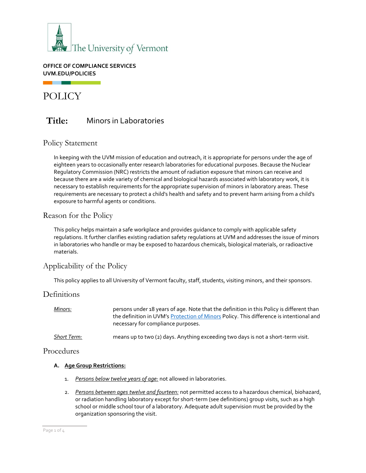

**OFFICE OF COMPLIANCE SERVICES UVM.EDU/POLICIES**

# POLICY

. .

## **Title:** Minors in Laboratories

### Policy Statement

In keeping with the UVM mission of education and outreach, it is appropriate for persons under the age of eighteen years to occasionally enter research laboratories for educational purposes. Because the Nuclear Regulatory Commission (NRC) restricts the amount of radiation exposure that minors can receive and because there are a wide variety of chemical and biological hazards associated with laboratory work, it is necessary to establish requirements for the appropriate supervision of minors in laboratory areas. These requirements are necessary to protect a child's health and safety and to prevent harm arising from a child's exposure to harmful agents or conditions.

### Reason for the Policy

This policy helps maintain a safe workplace and provides guidance to comply with applicable safety regulations. It further clarifies existing radiation safety regulations at UVM and addresses the issue of minors in laboratories who handle or may be exposed to hazardous chemicals, biological materials, or radioactive materials.

### Applicability of the Policy

This policy applies to all University of Vermont faculty, staff, students, visiting minors, and their sponsors.

### **Definitions**

| Minors:            | persons under 18 years of age. Note that the definition in this Policy is different than<br>the definition in UVM's Protection of Minors Policy. This difference is intentional and<br>necessary for compliance purposes. |
|--------------------|---------------------------------------------------------------------------------------------------------------------------------------------------------------------------------------------------------------------------|
| <b>Short Term:</b> | means up to two (2) days. Anything exceeding two days is not a short-term visit.                                                                                                                                          |

### Procedures

#### **A. Age Group Restrictions:**

- 1. *Persons below twelve years of age:* not allowed in laboratories.
- 2. *Persons between ages twelve and fourteen:* not permitted access to a hazardous chemical, biohazard, or radiation handling laboratory except for short-term (see definitions) group visits, such as a high school or middle school tour of a laboratory. Adequate adult supervision must be provided by the organization sponsoring the visit.

Page 1 of 4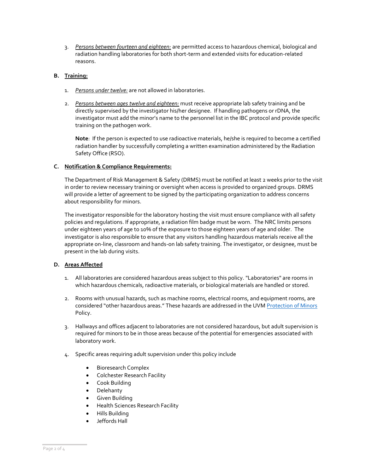3. *Persons between fourteen and eighteen:* are permitted access to hazardous chemical, biological and radiation handling laboratories for both short-term and extended visits for education-related reasons.

#### **B. Training:**

- 1. *Persons under twelve:* are not allowed in laboratories.
- 2. *Persons between ages twelve and eighteen:* must receive appropriate lab safety training and be directly supervised by the investigator his/her designee. If handling pathogens or rDNA, the investigator must add the minor's name to the personnel list in the IBC protocol and provide specific training on the pathogen work.

**Note**: If the person is expected to use radioactive materials, he/she is required to become a certified radiation handler by successfully completing a written examination administered by the Radiation Safety Office (RSO).

#### **C. Notification & Compliance Requirements:**

The Department of Risk Management & Safety (DRMS) must be notified at least 2 weeks prior to the visit in order to review necessary training or oversight when access is provided to organized groups. DRMS will provide a letter of agreement to be signed by the participating organization to address concerns about responsibility for minors.

The investigator responsible for the laboratory hosting the visit must ensure compliance with all safety policies and regulations. If appropriate, a radiation film badge must be worn. The NRC limits persons under eighteen years of age to 10% of the exposure to those eighteen years of age and older. The investigator is also responsible to ensure that any visitors handling hazardous materials receive all the appropriate on-line, classroom and hands-on lab safety training. The investigator, or designee, must be present in the lab during visits.

#### **D. Areas Affected**

- 1. All laboratories are considered hazardous areas subject to this policy. "Laboratories" are rooms in which hazardous chemicals, radioactive materials, or biological materials are handled or stored.
- 2. Rooms with unusual hazards, such as machine rooms, electrical rooms, and equipment rooms, are considered "other hazardous areas." These hazards are addressed in the UVM [Protection of Minors](https://www.uvm.edu/sites/default/files/UVM-Policies/policies/protectminors.pdf?t=r9xaxz) Policy.
- 3. Hallways and offices adjacent to laboratories are not considered hazardous, but adult supervision is required for minors to be in those areas because of the potential for emergencies associated with laboratory work.
- 4. Specific areas requiring adult supervision under this policy include
	- Bioresearch Complex
	- Colchester Research Facility
	- Cook Building
	- Delehanty
	- Given Building
	- Health Sciences Research Facility
	- Hills Building
	- Jeffords Hall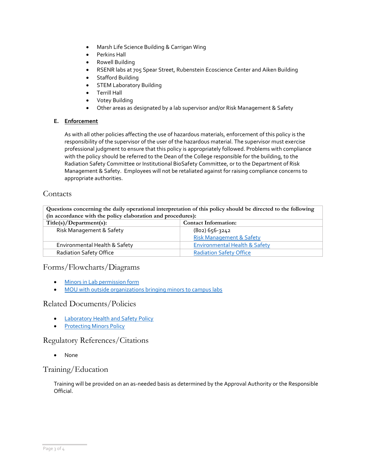- Marsh Life Science Building & Carrigan Wing
- Perkins Hall
- Rowell Building
- RSENR labs at 705 Spear Street, Rubenstein Ecoscience Center and Aiken Building
	- Stafford Building
- **STEM Laboratory Building**
- Terrill Hall
- Votey Building
- Other areas as designated by a lab supervisor and/or Risk Management & Safety

#### **E. Enforcement**

As with all other policies affecting the use of hazardous materials, enforcement of this policy is the responsibility of the supervisor of the user of the hazardous material. The supervisor must exercise professional judgment to ensure that this policy is appropriately followed. Problems with compliance with the policy should be referred to the Dean of the College responsible for the building, to the Radiation Safety Committee or Institutional BioSafety Committee, or to the Department of Risk Management & Safety. Employees will not be retaliated against for raising compliance concerns to appropriate authorities.

### **Contacts**

**Questions concerning the daily operational interpretation of this policy should be directed to the following (in accordance with the policy elaboration and procedures):**

| Title(s)/Department(s):        | <b>Contact Information:</b>              |  |
|--------------------------------|------------------------------------------|--|
| Risk Management & Safety       | (802) 656-3242                           |  |
|                                | <b>Risk Management &amp; Safety</b>      |  |
| Environmental Health & Safety  | <b>Environmental Health &amp; Safety</b> |  |
| <b>Radiation Safety Office</b> | <b>Radiation Safety Office</b>           |  |

### Forms/Flowcharts/Diagrams

- [Minors in Lab permission form](https://www.uvm.edu/sites/default/files/UVM-Risk-Management-and-Safety/minors_in_labs_permission.pdf)
- [MOU with outside organizations bringing minors to campus labs](https://www.uvm.edu/riskmanagement/laboratory-safety-notebook)

### Related Documents/Policies

- [Laboratory Health and Safety Policy](https://www.uvm.edu/sites/default/files/UVM-Policies/policies/labsafety.pdf)
- **[Protecting Minors Policy](https://www.uvm.edu/sites/default/files/UVM-Policies/policies/protectminors.pdf)**

### Regulatory References/Citations

• None

### Training/Education

Training will be provided on an as-needed basis as determined by the Approval Authority or the Responsible Official.